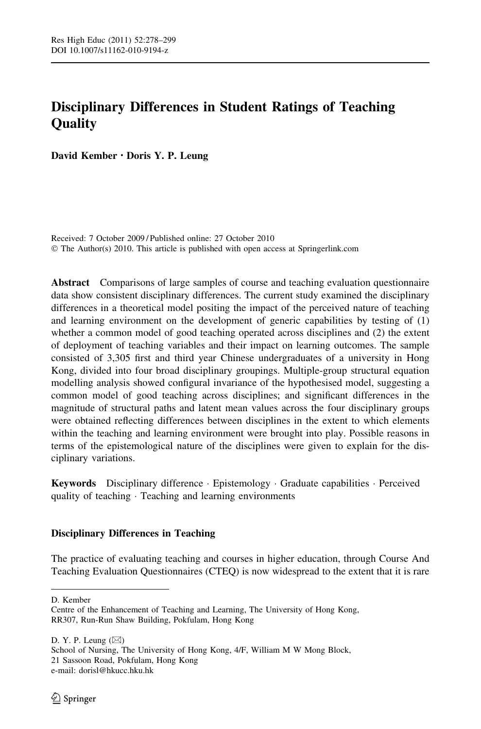# Disciplinary Differences in Student Ratings of Teaching **Ouality**

David Kember • Doris Y. P. Leung

Received: 7 October 2009 / Published online: 27 October 2010 © The Author(s) 2010. This article is published with open access at Springerlink.com

Abstract Comparisons of large samples of course and teaching evaluation questionnaire data show consistent disciplinary differences. The current study examined the disciplinary differences in a theoretical model positing the impact of the perceived nature of teaching and learning environment on the development of generic capabilities by testing of (1) whether a common model of good teaching operated across disciplines and (2) the extent of deployment of teaching variables and their impact on learning outcomes. The sample consisted of 3,305 first and third year Chinese undergraduates of a university in Hong Kong, divided into four broad disciplinary groupings. Multiple-group structural equation modelling analysis showed configural invariance of the hypothesised model, suggesting a common model of good teaching across disciplines; and significant differences in the magnitude of structural paths and latent mean values across the four disciplinary groups were obtained reflecting differences between disciplines in the extent to which elements within the teaching and learning environment were brought into play. Possible reasons in terms of the epistemological nature of the disciplines were given to explain for the disciplinary variations.

Keywords Disciplinary difference · Epistemology · Graduate capabilities · Perceived quality of teaching - Teaching and learning environments

# Disciplinary Differences in Teaching

The practice of evaluating teaching and courses in higher education, through Course And Teaching Evaluation Questionnaires (CTEQ) is now widespread to the extent that it is rare

D. Kember

D. Y. P. Leung  $(\boxtimes)$ 

e-mail: dorisl@hkucc.hku.hk

Centre of the Enhancement of Teaching and Learning, The University of Hong Kong, RR307, Run-Run Shaw Building, Pokfulam, Hong Kong

School of Nursing, The University of Hong Kong, 4/F, William M W Mong Block, 21 Sassoon Road, Pokfulam, Hong Kong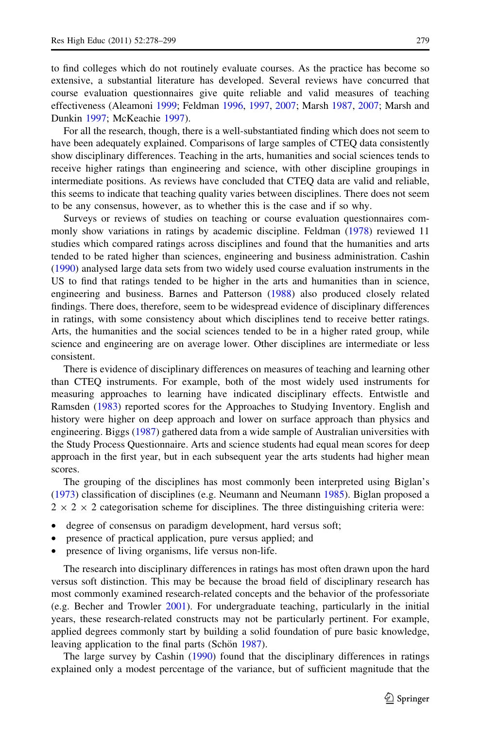to find colleges which do not routinely evaluate courses. As the practice has become so extensive, a substantial literature has developed. Several reviews have concurred that course evaluation questionnaires give quite reliable and valid measures of teaching effectiveness (Aleamoni [1999;](#page-19-0) Feldman [1996](#page-20-0), [1997](#page-20-0), [2007;](#page-20-0) Marsh [1987](#page-20-0), [2007](#page-20-0); Marsh and Dunkin [1997](#page-21-0); McKeachie [1997\)](#page-21-0).

For all the research, though, there is a well-substantiated finding which does not seem to have been adequately explained. Comparisons of large samples of CTEQ data consistently show disciplinary differences. Teaching in the arts, humanities and social sciences tends to receive higher ratings than engineering and science, with other discipline groupings in intermediate positions. As reviews have concluded that CTEQ data are valid and reliable, this seems to indicate that teaching quality varies between disciplines. There does not seem to be any consensus, however, as to whether this is the case and if so why.

Surveys or reviews of studies on teaching or course evaluation questionnaires commonly show variations in ratings by academic discipline. Feldman [\(1978](#page-20-0)) reviewed 11 studies which compared ratings across disciplines and found that the humanities and arts tended to be rated higher than sciences, engineering and business administration. Cashin ([1990\)](#page-19-0) analysed large data sets from two widely used course evaluation instruments in the US to find that ratings tended to be higher in the arts and humanities than in science, engineering and business. Barnes and Patterson ([1988](#page-19-0)) also produced closely related findings. There does, therefore, seem to be widespread evidence of disciplinary differences in ratings, with some consistency about which disciplines tend to receive better ratings. Arts, the humanities and the social sciences tended to be in a higher rated group, while science and engineering are on average lower. Other disciplines are intermediate or less consistent.

There is evidence of disciplinary differences on measures of teaching and learning other than CTEQ instruments. For example, both of the most widely used instruments for measuring approaches to learning have indicated disciplinary effects. Entwistle and Ramsden ([1983\)](#page-20-0) reported scores for the Approaches to Studying Inventory. English and history were higher on deep approach and lower on surface approach than physics and engineering. Biggs ([1987\)](#page-19-0) gathered data from a wide sample of Australian universities with the Study Process Questionnaire. Arts and science students had equal mean scores for deep approach in the first year, but in each subsequent year the arts students had higher mean scores.

The grouping of the disciplines has most commonly been interpreted using Biglan's ([1973\)](#page-19-0) classification of disciplines (e.g. Neumann and Neumann [1985\)](#page-21-0). Biglan proposed a  $2 \times 2 \times 2$  categorisation scheme for disciplines. The three distinguishing criteria were:

- degree of consensus on paradigm development, hard versus soft;
- presence of practical application, pure versus applied; and
- presence of living organisms, life versus non-life.

The research into disciplinary differences in ratings has most often drawn upon the hard versus soft distinction. This may be because the broad field of disciplinary research has most commonly examined research-related concepts and the behavior of the professoriate (e.g. Becher and Trowler [2001\)](#page-19-0). For undergraduate teaching, particularly in the initial years, these research-related constructs may not be particularly pertinent. For example, applied degrees commonly start by building a solid foundation of pure basic knowledge, leaving application to the final parts (Schön [1987](#page-21-0)).

The large survey by Cashin [\(1990](#page-19-0)) found that the disciplinary differences in ratings explained only a modest percentage of the variance, but of sufficient magnitude that the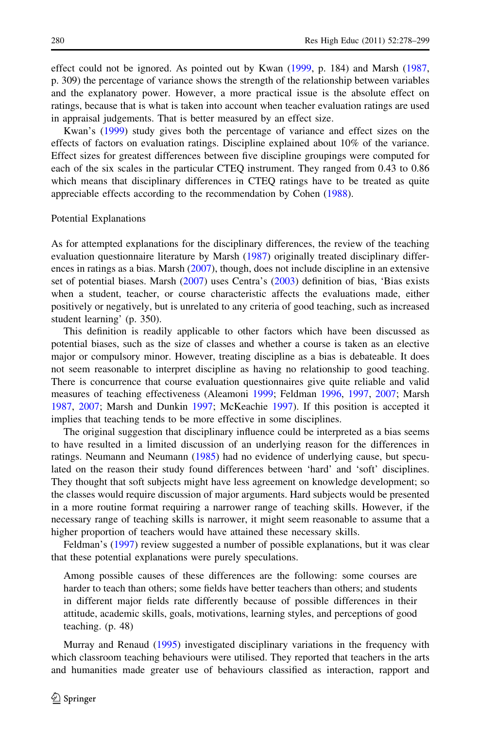effect could not be ignored. As pointed out by Kwan ([1999,](#page-20-0) p. 184) and Marsh [\(1987](#page-20-0), p. 309) the percentage of variance shows the strength of the relationship between variables and the explanatory power. However, a more practical issue is the absolute effect on ratings, because that is what is taken into account when teacher evaluation ratings are used in appraisal judgements. That is better measured by an effect size.

Kwan's ([1999\)](#page-20-0) study gives both the percentage of variance and effect sizes on the effects of factors on evaluation ratings. Discipline explained about 10% of the variance. Effect sizes for greatest differences between five discipline groupings were computed for each of the six scales in the particular CTEQ instrument. They ranged from 0.43 to 0.86 which means that disciplinary differences in CTEQ ratings have to be treated as quite appreciable effects according to the recommendation by Cohen ([1988\)](#page-20-0).

# Potential Explanations

As for attempted explanations for the disciplinary differences, the review of the teaching evaluation questionnaire literature by Marsh [\(1987](#page-20-0)) originally treated disciplinary differences in ratings as a bias. Marsh [\(2007](#page-20-0)), though, does not include discipline in an extensive set of potential biases. Marsh ([2007](#page-20-0)) uses Centra's ([2003\)](#page-19-0) definition of bias, 'Bias exists when a student, teacher, or course characteristic affects the evaluations made, either positively or negatively, but is unrelated to any criteria of good teaching, such as increased student learning' (p. 350).

This definition is readily applicable to other factors which have been discussed as potential biases, such as the size of classes and whether a course is taken as an elective major or compulsory minor. However, treating discipline as a bias is debateable. It does not seem reasonable to interpret discipline as having no relationship to good teaching. There is concurrence that course evaluation questionnaires give quite reliable and valid measures of teaching effectiveness (Aleamoni [1999;](#page-19-0) Feldman [1996](#page-20-0), [1997](#page-20-0), [2007](#page-20-0); Marsh [1987,](#page-20-0) [2007;](#page-20-0) Marsh and Dunkin [1997;](#page-21-0) McKeachie [1997\)](#page-21-0). If this position is accepted it implies that teaching tends to be more effective in some disciplines.

The original suggestion that disciplinary influence could be interpreted as a bias seems to have resulted in a limited discussion of an underlying reason for the differences in ratings. Neumann and Neumann [\(1985](#page-21-0)) had no evidence of underlying cause, but speculated on the reason their study found differences between 'hard' and 'soft' disciplines. They thought that soft subjects might have less agreement on knowledge development; so the classes would require discussion of major arguments. Hard subjects would be presented in a more routine format requiring a narrower range of teaching skills. However, if the necessary range of teaching skills is narrower, it might seem reasonable to assume that a higher proportion of teachers would have attained these necessary skills.

Feldman's [\(1997\)](#page-20-0) review suggested a number of possible explanations, but it was clear that these potential explanations were purely speculations.

Among possible causes of these differences are the following: some courses are harder to teach than others; some fields have better teachers than others; and students in different major fields rate differently because of possible differences in their attitude, academic skills, goals, motivations, learning styles, and perceptions of good teaching. (p. 48)

Murray and Renaud [\(1995](#page-21-0)) investigated disciplinary variations in the frequency with which classroom teaching behaviours were utilised. They reported that teachers in the arts and humanities made greater use of behaviours classified as interaction, rapport and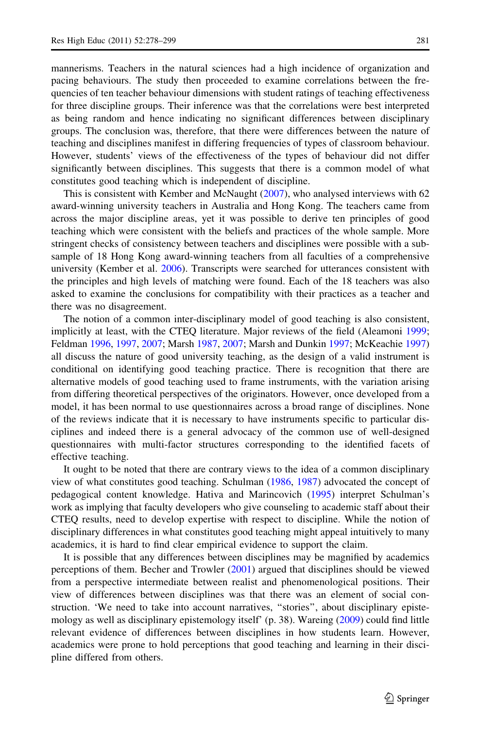mannerisms. Teachers in the natural sciences had a high incidence of organization and pacing behaviours. The study then proceeded to examine correlations between the frequencies of ten teacher behaviour dimensions with student ratings of teaching effectiveness for three discipline groups. Their inference was that the correlations were best interpreted as being random and hence indicating no significant differences between disciplinary groups. The conclusion was, therefore, that there were differences between the nature of teaching and disciplines manifest in differing frequencies of types of classroom behaviour. However, students' views of the effectiveness of the types of behaviour did not differ

constitutes good teaching which is independent of discipline. This is consistent with Kember and McNaught ([2007\)](#page-20-0), who analysed interviews with 62 award-winning university teachers in Australia and Hong Kong. The teachers came from across the major discipline areas, yet it was possible to derive ten principles of good teaching which were consistent with the beliefs and practices of the whole sample. More stringent checks of consistency between teachers and disciplines were possible with a subsample of 18 Hong Kong award-winning teachers from all faculties of a comprehensive university (Kember et al. [2006](#page-20-0)). Transcripts were searched for utterances consistent with the principles and high levels of matching were found. Each of the 18 teachers was also asked to examine the conclusions for compatibility with their practices as a teacher and there was no disagreement.

significantly between disciplines. This suggests that there is a common model of what

The notion of a common inter-disciplinary model of good teaching is also consistent, implicitly at least, with the CTEQ literature. Major reviews of the field (Aleamoni [1999;](#page-19-0) Feldman [1996](#page-20-0), [1997,](#page-20-0) [2007](#page-20-0); Marsh [1987,](#page-20-0) [2007](#page-20-0); Marsh and Dunkin [1997](#page-21-0); McKeachie [1997](#page-21-0)) all discuss the nature of good university teaching, as the design of a valid instrument is conditional on identifying good teaching practice. There is recognition that there are alternative models of good teaching used to frame instruments, with the variation arising from differing theoretical perspectives of the originators. However, once developed from a model, it has been normal to use questionnaires across a broad range of disciplines. None of the reviews indicate that it is necessary to have instruments specific to particular disciplines and indeed there is a general advocacy of the common use of well-designed questionnaires with multi-factor structures corresponding to the identified facets of effective teaching.

It ought to be noted that there are contrary views to the idea of a common disciplinary view of what constitutes good teaching. Schulman [\(1986](#page-21-0), [1987](#page-21-0)) advocated the concept of pedagogical content knowledge. Hativa and Marincovich [\(1995\)](#page-20-0) interpret Schulman's work as implying that faculty developers who give counseling to academic staff about their CTEQ results, need to develop expertise with respect to discipline. While the notion of disciplinary differences in what constitutes good teaching might appeal intuitively to many academics, it is hard to find clear empirical evidence to support the claim.

It is possible that any differences between disciplines may be magnified by academics perceptions of them. Becher and Trowler [\(2001](#page-19-0)) argued that disciplines should be viewed from a perspective intermediate between realist and phenomenological positions. Their view of differences between disciplines was that there was an element of social construction. 'We need to take into account narratives, ''stories'', about disciplinary epistemology as well as disciplinary epistemology itself' (p. 38). Wareing [\(2009](#page-21-0)) could find little relevant evidence of differences between disciplines in how students learn. However, academics were prone to hold perceptions that good teaching and learning in their discipline differed from others.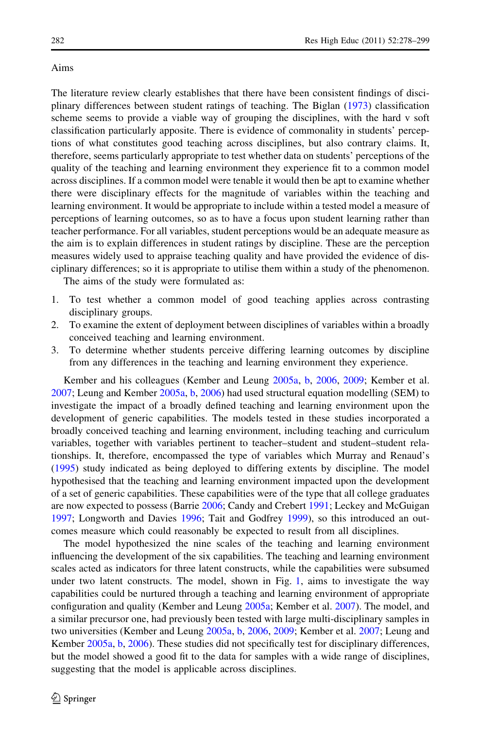#### Aims

The literature review clearly establishes that there have been consistent findings of disciplinary differences between student ratings of teaching. The Biglan [\(1973](#page-19-0)) classification scheme seems to provide a viable way of grouping the disciplines, with the hard v soft classification particularly apposite. There is evidence of commonality in students' perceptions of what constitutes good teaching across disciplines, but also contrary claims. It, therefore, seems particularly appropriate to test whether data on students' perceptions of the quality of the teaching and learning environment they experience fit to a common model across disciplines. If a common model were tenable it would then be apt to examine whether there were disciplinary effects for the magnitude of variables within the teaching and learning environment. It would be appropriate to include within a tested model a measure of perceptions of learning outcomes, so as to have a focus upon student learning rather than teacher performance. For all variables, student perceptions would be an adequate measure as the aim is to explain differences in student ratings by discipline. These are the perception measures widely used to appraise teaching quality and have provided the evidence of disciplinary differences; so it is appropriate to utilise them within a study of the phenomenon.

The aims of the study were formulated as:

- 1. To test whether a common model of good teaching applies across contrasting disciplinary groups.
- 2. To examine the extent of deployment between disciplines of variables within a broadly conceived teaching and learning environment.
- 3. To determine whether students perceive differing learning outcomes by discipline from any differences in the teaching and learning environment they experience.

Kember and his colleagues (Kember and Leung [2005a,](#page-20-0) [b](#page-20-0), [2006](#page-20-0), [2009;](#page-20-0) Kember et al. [2007;](#page-20-0) Leung and Kember [2005a](#page-20-0), [b,](#page-20-0) [2006](#page-20-0)) had used structural equation modelling (SEM) to investigate the impact of a broadly defined teaching and learning environment upon the development of generic capabilities. The models tested in these studies incorporated a broadly conceived teaching and learning environment, including teaching and curriculum variables, together with variables pertinent to teacher–student and student–student relationships. It, therefore, encompassed the type of variables which Murray and Renaud's ([1995\)](#page-21-0) study indicated as being deployed to differing extents by discipline. The model hypothesised that the teaching and learning environment impacted upon the development of a set of generic capabilities. These capabilities were of the type that all college graduates are now expected to possess (Barrie [2006](#page-19-0); Candy and Crebert [1991;](#page-19-0) Leckey and McGuigan [1997;](#page-20-0) Longworth and Davies [1996](#page-20-0); Tait and Godfrey [1999](#page-21-0)), so this introduced an outcomes measure which could reasonably be expected to result from all disciplines.

The model hypothesized the nine scales of the teaching and learning environment influencing the development of the six capabilities. The teaching and learning environment scales acted as indicators for three latent constructs, while the capabilities were subsumed under two latent constructs. The model, shown in Fig. [1,](#page-5-0) aims to investigate the way capabilities could be nurtured through a teaching and learning environment of appropriate configuration and quality (Kember and Leung [2005a](#page-20-0); Kember et al. [2007](#page-20-0)). The model, and a similar precursor one, had previously been tested with large multi-disciplinary samples in two universities (Kember and Leung [2005a,](#page-20-0) [b](#page-20-0), [2006](#page-20-0), [2009;](#page-20-0) Kember et al. [2007](#page-20-0); Leung and Kember [2005a,](#page-20-0) [b](#page-20-0), [2006\)](#page-20-0). These studies did not specifically test for disciplinary differences, but the model showed a good fit to the data for samples with a wide range of disciplines, suggesting that the model is applicable across disciplines.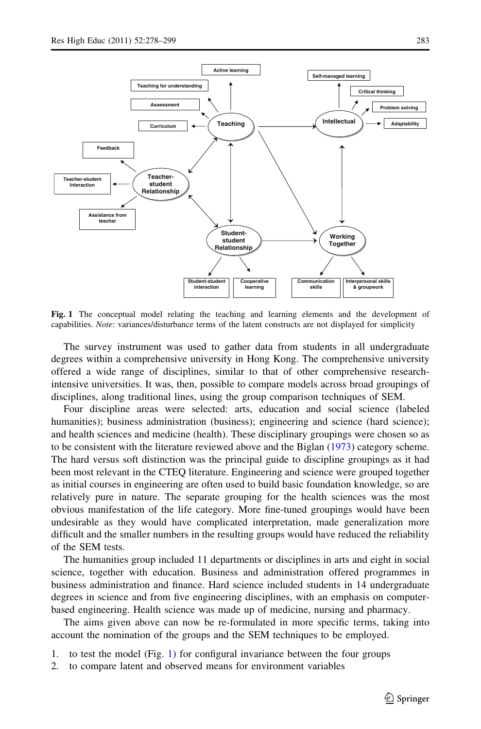<span id="page-5-0"></span>

Fig. 1 The conceptual model relating the teaching and learning elements and the development of capabilities. Note: variances/disturbance terms of the latent constructs are not displayed for simplicity

The survey instrument was used to gather data from students in all undergraduate degrees within a comprehensive university in Hong Kong. The comprehensive university offered a wide range of disciplines, similar to that of other comprehensive researchintensive universities. It was, then, possible to compare models across broad groupings of disciplines, along traditional lines, using the group comparison techniques of SEM.

Four discipline areas were selected: arts, education and social science (labeled humanities); business administration (business); engineering and science (hard science); and health sciences and medicine (health). These disciplinary groupings were chosen so as to be consistent with the literature reviewed above and the Biglan [\(1973\)](#page-19-0) category scheme. The hard versus soft distinction was the principal guide to discipline groupings as it had been most relevant in the CTEQ literature. Engineering and science were grouped together as initial courses in engineering are often used to build basic foundation knowledge, so are relatively pure in nature. The separate grouping for the health sciences was the most obvious manifestation of the life category. More fine-tuned groupings would have been undesirable as they would have complicated interpretation, made generalization more difficult and the smaller numbers in the resulting groups would have reduced the reliability of the SEM tests.

The humanities group included 11 departments or disciplines in arts and eight in social science, together with education. Business and administration offered programmes in business administration and finance. Hard science included students in 14 undergraduate degrees in science and from five engineering disciplines, with an emphasis on computerbased engineering. Health science was made up of medicine, nursing and pharmacy.

The aims given above can now be re-formulated in more specific terms, taking into account the nomination of the groups and the SEM techniques to be employed.

- 1. to test the model (Fig. 1) for configural invariance between the four groups
- 2. to compare latent and observed means for environment variables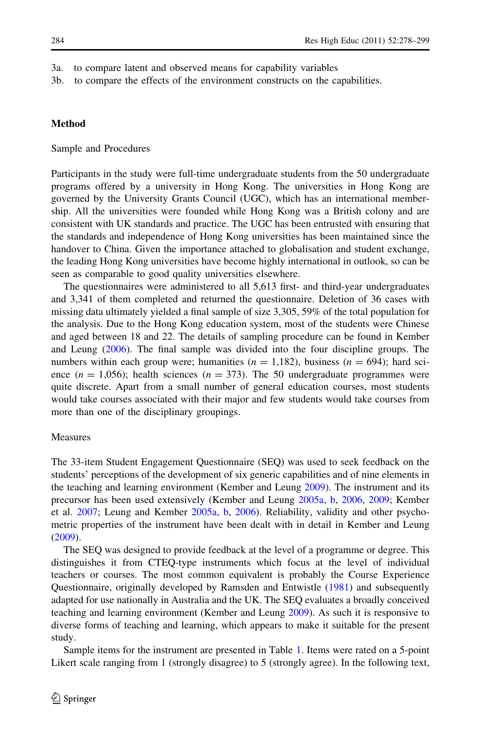3b. to compare the effects of the environment constructs on the capabilities.

# Method

#### Sample and Procedures

Participants in the study were full-time undergraduate students from the 50 undergraduate programs offered by a university in Hong Kong. The universities in Hong Kong are governed by the University Grants Council (UGC), which has an international membership. All the universities were founded while Hong Kong was a British colony and are consistent with UK standards and practice. The UGC has been entrusted with ensuring that the standards and independence of Hong Kong universities has been maintained since the handover to China. Given the importance attached to globalisation and student exchange, the leading Hong Kong universities have become highly international in outlook, so can be seen as comparable to good quality universities elsewhere.

The questionnaires were administered to all 5,613 first- and third-year undergraduates and 3,341 of them completed and returned the questionnaire. Deletion of 36 cases with missing data ultimately yielded a final sample of size 3,305, 59% of the total population for the analysis. Due to the Hong Kong education system, most of the students were Chinese and aged between 18 and 22. The details of sampling procedure can be found in Kember and Leung ([2006](#page-20-0)). The final sample was divided into the four discipline groups. The numbers within each group were; humanities  $(n = 1,182)$ , business  $(n = 694)$ ; hard science ( $n = 1,056$ ); health sciences ( $n = 373$ ). The 50 undergraduate programmes were quite discrete. Apart from a small number of general education courses, most students would take courses associated with their major and few students would take courses from more than one of the disciplinary groupings.

# Measures

The 33-item Student Engagement Questionnaire (SEQ) was used to seek feedback on the students' perceptions of the development of six generic capabilities and of nine elements in the teaching and learning environment (Kember and Leung [2009](#page-20-0)). The instrument and its precursor has been used extensively (Kember and Leung [2005a,](#page-20-0) [b](#page-20-0), [2006](#page-20-0), [2009;](#page-20-0) Kember et al. [2007](#page-20-0); Leung and Kember [2005a](#page-20-0), [b,](#page-20-0) [2006\)](#page-20-0). Reliability, validity and other psychometric properties of the instrument have been dealt with in detail in Kember and Leung ([2009\)](#page-20-0).

The SEQ was designed to provide feedback at the level of a programme or degree. This distinguishes it from CTEQ-type instruments which focus at the level of individual teachers or courses. The most common equivalent is probably the Course Experience Questionnaire, originally developed by Ramsden and Entwistle [\(1981](#page-21-0)) and subsequently adapted for use nationally in Australia and the UK. The SEQ evaluates a broadly conceived teaching and learning environment (Kember and Leung [2009\)](#page-20-0). As such it is responsive to diverse forms of teaching and learning, which appears to make it suitable for the present study.

Sample items for the instrument are presented in Table [1.](#page-7-0) Items were rated on a 5-point Likert scale ranging from 1 (strongly disagree) to 5 (strongly agree). In the following text,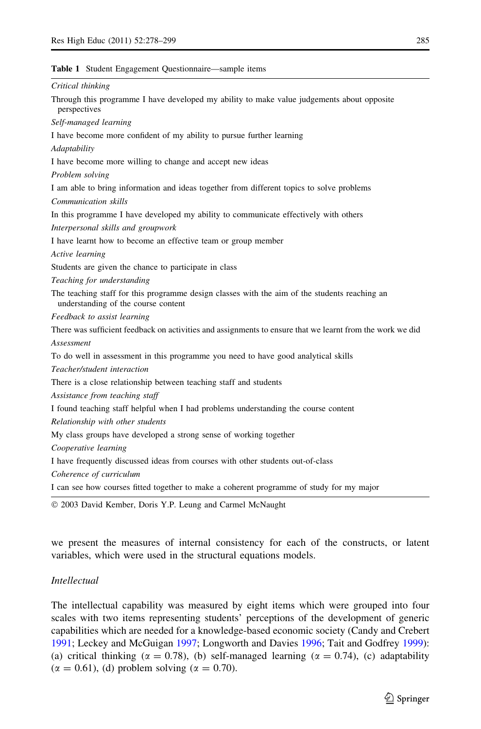<span id="page-7-0"></span>Table 1 Student Engagement Questionnaire—sample items

| Critical thinking                                                                                                                    |
|--------------------------------------------------------------------------------------------------------------------------------------|
| Through this programme I have developed my ability to make value judgements about opposite<br>perspectives                           |
| Self-managed learning                                                                                                                |
| I have become more confident of my ability to pursue further learning                                                                |
| Adaptability                                                                                                                         |
| I have become more willing to change and accept new ideas<br>Problem solving                                                         |
| I am able to bring information and ideas together from different topics to solve problems<br>Communication skills                    |
| In this programme I have developed my ability to communicate effectively with others<br>Interpersonal skills and groupwork           |
| I have learnt how to become an effective team or group member                                                                        |
| Active learning                                                                                                                      |
| Students are given the chance to participate in class                                                                                |
| Teaching for understanding                                                                                                           |
| The teaching staff for this programme design classes with the aim of the students reaching an<br>understanding of the course content |
| Feedback to assist learning                                                                                                          |
| There was sufficient feedback on activities and assignments to ensure that we learnt from the work we did                            |
| Assessment                                                                                                                           |
| To do well in assessment in this programme you need to have good analytical skills                                                   |
| Teacher/student interaction                                                                                                          |
| There is a close relationship between teaching staff and students                                                                    |
| Assistance from teaching staff                                                                                                       |
| I found teaching staff helpful when I had problems understanding the course content                                                  |
| Relationship with other students                                                                                                     |
| My class groups have developed a strong sense of working together                                                                    |
| Cooperative learning                                                                                                                 |
| I have frequently discussed ideas from courses with other students out-of-class                                                      |
| Coherence of curriculum                                                                                                              |
| I can see how courses fitted together to make a coherent programme of study for my major                                             |

- 2003 David Kember, Doris Y.P. Leung and Carmel McNaught

we present the measures of internal consistency for each of the constructs, or latent variables, which were used in the structural equations models.

# Intellectual

The intellectual capability was measured by eight items which were grouped into four scales with two items representing students' perceptions of the development of generic capabilities which are needed for a knowledge-based economic society (Candy and Crebert [1991;](#page-19-0) Leckey and McGuigan [1997;](#page-20-0) Longworth and Davies [1996](#page-20-0); Tait and Godfrey [1999\)](#page-21-0): (a) critical thinking ( $\alpha = 0.78$ ), (b) self-managed learning ( $\alpha = 0.74$ ), (c) adaptability  $(\alpha = 0.61)$ , (d) problem solving  $(\alpha = 0.70)$ .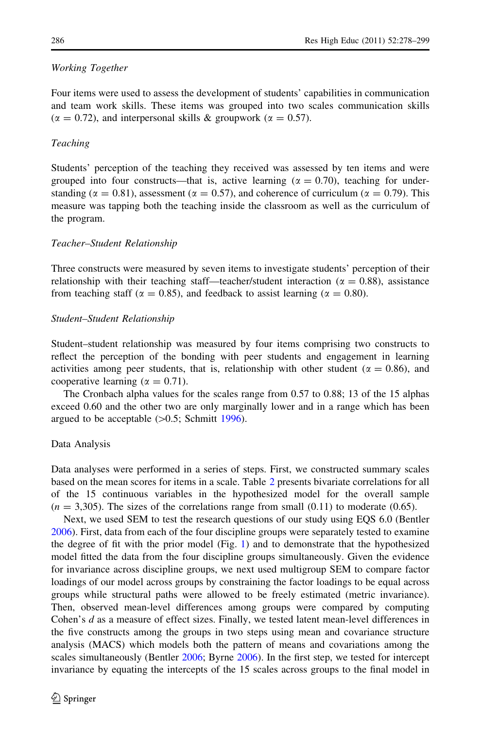# Working Together

Four items were used to assess the development of students' capabilities in communication and team work skills. These items was grouped into two scales communication skills  $(\alpha = 0.72)$ , and interpersonal skills & groupwork ( $\alpha = 0.57$ ).

# Teaching

Students' perception of the teaching they received was assessed by ten items and were grouped into four constructs—that is, active learning ( $\alpha = 0.70$ ), teaching for understanding ( $\alpha = 0.81$ ), assessment ( $\alpha = 0.57$ ), and coherence of curriculum ( $\alpha = 0.79$ ). This measure was tapping both the teaching inside the classroom as well as the curriculum of the program.

# Teacher–Student Relationship

Three constructs were measured by seven items to investigate students' perception of their relationship with their teaching staff—teacher/student interaction ( $\alpha = 0.88$ ), assistance from teaching staff ( $\alpha = 0.85$ ), and feedback to assist learning ( $\alpha = 0.80$ ).

# Student–Student Relationship

Student–student relationship was measured by four items comprising two constructs to reflect the perception of the bonding with peer students and engagement in learning activities among peer students, that is, relationship with other student ( $\alpha = 0.86$ ), and cooperative learning ( $\alpha = 0.71$ ).

The Cronbach alpha values for the scales range from 0.57 to 0.88; 13 of the 15 alphas exceed 0.60 and the other two are only marginally lower and in a range which has been argued to be acceptable  $(>0.5;$  Schmitt [1996](#page-21-0)).

# Data Analysis

Data analyses were performed in a series of steps. First, we constructed summary scales based on the mean scores for items in a scale. Table [2](#page-9-0) presents bivariate correlations for all of the 15 continuous variables in the hypothesized model for the overall sample  $(n = 3,305)$ . The sizes of the correlations range from small  $(0.11)$  to moderate  $(0.65)$ .

Next, we used SEM to test the research questions of our study using EQS 6.0 (Bentler [2006\)](#page-19-0). First, data from each of the four discipline groups were separately tested to examine the degree of fit with the prior model (Fig. [1\)](#page-5-0) and to demonstrate that the hypothesized model fitted the data from the four discipline groups simultaneously. Given the evidence for invariance across discipline groups, we next used multigroup SEM to compare factor loadings of our model across groups by constraining the factor loadings to be equal across groups while structural paths were allowed to be freely estimated (metric invariance). Then, observed mean-level differences among groups were compared by computing Cohen's  $d$  as a measure of effect sizes. Finally, we tested latent mean-level differences in the five constructs among the groups in two steps using mean and covariance structure analysis (MACS) which models both the pattern of means and covariations among the scales simultaneously (Bentler [2006](#page-19-0); Byrne [2006\)](#page-19-0). In the first step, we tested for intercept invariance by equating the intercepts of the 15 scales across groups to the final model in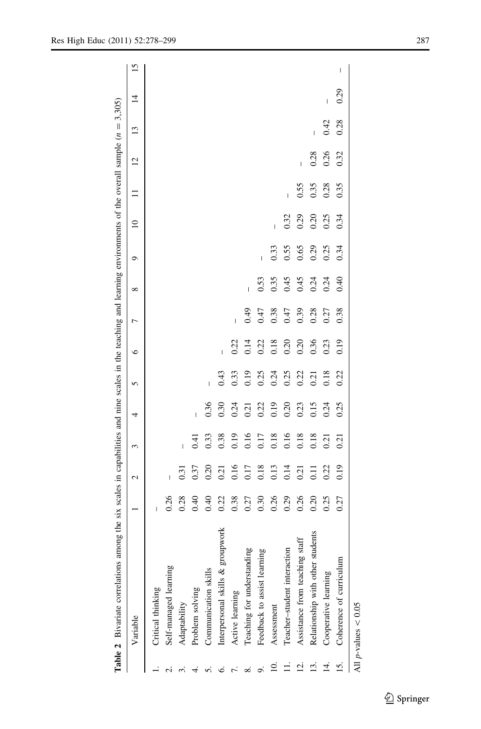<span id="page-9-0"></span>

|           | <b>Table 2</b> Bivariate correlations among the six scales in capabilities and nine scales in the teaching and learning environments of the overall sample $(n = 3,305)$ |      |                |                  |      |      |         |      |          |      |                |      |                |                |      |    |
|-----------|--------------------------------------------------------------------------------------------------------------------------------------------------------------------------|------|----------------|------------------|------|------|---------|------|----------|------|----------------|------|----------------|----------------|------|----|
|           | Variable                                                                                                                                                                 |      | 2              | 3                | 4    | 5    | $\circ$ | Γ    | $\infty$ | ٥    | $\overline{a}$ |      | $\overline{c}$ | $\frac{13}{2}$ | ᅼ    | 15 |
|           | Critical thinking                                                                                                                                                        | I    |                |                  |      |      |         |      |          |      |                |      |                |                |      |    |
|           | Self-managed learning                                                                                                                                                    | 0.26 | Ī              |                  |      |      |         |      |          |      |                |      |                |                |      |    |
|           | Adaptability                                                                                                                                                             | 0.28 | 31             | Ï                |      |      |         |      |          |      |                |      |                |                |      |    |
|           | Problem solving                                                                                                                                                          | 0.40 | 0.37           | $\overline{0.4}$ | Ï    |      |         |      |          |      |                |      |                |                |      |    |
|           | Communication skills                                                                                                                                                     | 0.40 | 0.20           | 0.33             | 0.36 |      |         |      |          |      |                |      |                |                |      |    |
|           | Interpersonal skills & groupwork                                                                                                                                         | 0.22 | 0.21           | 0.38             | 0.30 | 0.43 |         |      |          |      |                |      |                |                |      |    |
|           | Active learning                                                                                                                                                          | 0.38 | 0.16           | 0.19             | 0.24 | 0.33 | 0.22    |      |          |      |                |      |                |                |      |    |
|           | Teaching for understanding                                                                                                                                               | 0.27 | 0.17           | 0.16             | 0.21 | 0.19 | 0.14    | 64.0 |          |      |                |      |                |                |      |    |
|           | Feedback to assist learning                                                                                                                                              | 0.30 | 0.18           | 0.17             | 0.22 | 0.25 | 0.22    | 0.47 | 0.53     |      |                |      |                |                |      |    |
|           | Assessment                                                                                                                                                               | 0.26 | 0.13           | 0.18             | 0.19 | 0.24 | 0.18    | 0.38 | 0.35     | 0.33 |                |      |                |                |      |    |
|           | Teacher-student interaction                                                                                                                                              | 0.29 | 0.14           | 0.16             | 0.20 | 0.25 | 0.20    | 0.47 | 0.45     | 0.55 | 0.32           |      |                |                |      |    |
|           | Assistance from teaching staff                                                                                                                                           | 0.26 | 0.21           | 0.18             | 0.23 | 0.22 | 0.20    | 0.39 | 0.45     | 0.65 | 0.29           | 0.55 |                |                |      |    |
| <u>ന്</u> | Relationship with other students                                                                                                                                         | 0.20 | $\overline{0}$ | 0.18             | 0.15 | 0.21 | 0.36    | 0.28 | 0.24     | 0.29 | 0.20           | 0.35 | 0.28           |                |      |    |
| ᅼ         | Cooperative learning                                                                                                                                                     | 0.25 | 0.22           | 0.21             | 0.24 | 0.18 | 0.23    | 0.27 | 0.24     | 0.25 | 0.25           | 0.28 | 0.26           | 0.42           | Ï    |    |
| ۱5.       | Coherence of curriculum                                                                                                                                                  | 0.27 | 0.19           | 0.21             | 0.25 | 0.22 | 0.19    | 0.38 | 0.40     | 0.34 | 0.34           | 0.35 | 0.32           | 0.28           | 0.29 | I  |
|           |                                                                                                                                                                          |      |                |                  |      |      |         |      |          |      |                |      |                |                |      |    |

All p-values All  $p$ -values  $< 0.05$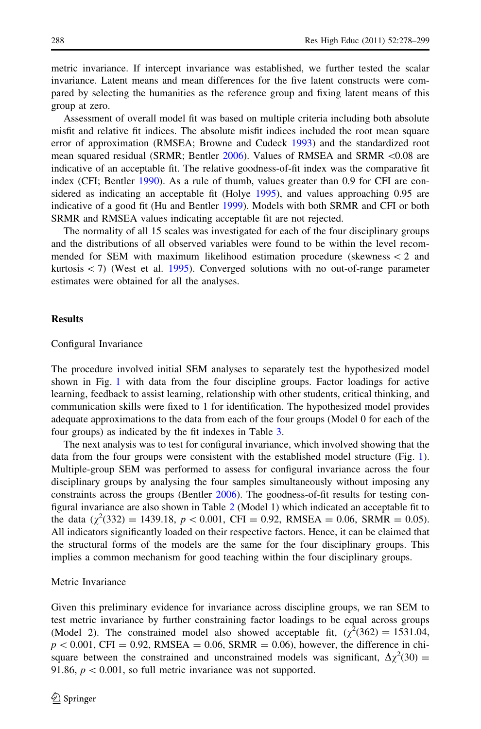metric invariance. If intercept invariance was established, we further tested the scalar invariance. Latent means and mean differences for the five latent constructs were compared by selecting the humanities as the reference group and fixing latent means of this group at zero.

Assessment of overall model fit was based on multiple criteria including both absolute misfit and relative fit indices. The absolute misfit indices included the root mean square error of approximation (RMSEA; Browne and Cudeck [1993](#page-19-0)) and the standardized root mean squared residual (SRMR; Bentler [2006\)](#page-19-0). Values of RMSEA and SRMR < 0.08 are indicative of an acceptable fit. The relative goodness-of-fit index was the comparative fit index (CFI; Bentler [1990\)](#page-19-0). As a rule of thumb, values greater than 0.9 for CFI are considered as indicating an acceptable fit (Holye [1995\)](#page-20-0), and values approaching 0.95 are indicative of a good fit (Hu and Bentler [1999](#page-20-0)). Models with both SRMR and CFI or both SRMR and RMSEA values indicating acceptable fit are not rejected.

The normality of all 15 scales was investigated for each of the four disciplinary groups and the distributions of all observed variables were found to be within the level recommended for SEM with maximum likelihood estimation procedure (skewness  $\lt 2$  and kurtosis  $\langle 7 \rangle$  (West et al. [1995\)](#page-21-0). Converged solutions with no out-of-range parameter estimates were obtained for all the analyses.

### Results

#### Configural Invariance

The procedure involved initial SEM analyses to separately test the hypothesized model shown in Fig. [1](#page-5-0) with data from the four discipline groups. Factor loadings for active learning, feedback to assist learning, relationship with other students, critical thinking, and communication skills were fixed to 1 for identification. The hypothesized model provides adequate approximations to the data from each of the four groups (Model 0 for each of the four groups) as indicated by the fit indexes in Table [3](#page-11-0).

The next analysis was to test for configural invariance, which involved showing that the data from the four groups were consistent with the established model structure (Fig. [1](#page-5-0)). Multiple-group SEM was performed to assess for configural invariance across the four disciplinary groups by analysing the four samples simultaneously without imposing any constraints across the groups (Bentler [2006](#page-19-0)). The goodness-of-fit results for testing configural invariance are also shown in Table [2](#page-9-0) (Model 1) which indicated an acceptable fit to the data  $(\chi^2(332) = 1439.18, p < 0.001, \text{ CFI} = 0.92, \text{RMSEA} = 0.06, \text{SRMR} = 0.05)$ . All indicators significantly loaded on their respective factors. Hence, it can be claimed that the structural forms of the models are the same for the four disciplinary groups. This implies a common mechanism for good teaching within the four disciplinary groups.

# Metric Invariance

Given this preliminary evidence for invariance across discipline groups, we ran SEM to test metric invariance by further constraining factor loadings to be equal across groups (Model 2). The constrained model also showed acceptable fit,  $(\chi^2(362) = 1531.04,$  $p < 0.001$ , CFI = 0.92, RMSEA = 0.06, SRMR = 0.06), however, the difference in chisquare between the constrained and unconstrained models was significant,  $\Delta \chi^2(30) =$ 91.86,  $p < 0.001$ , so full metric invariance was not supported.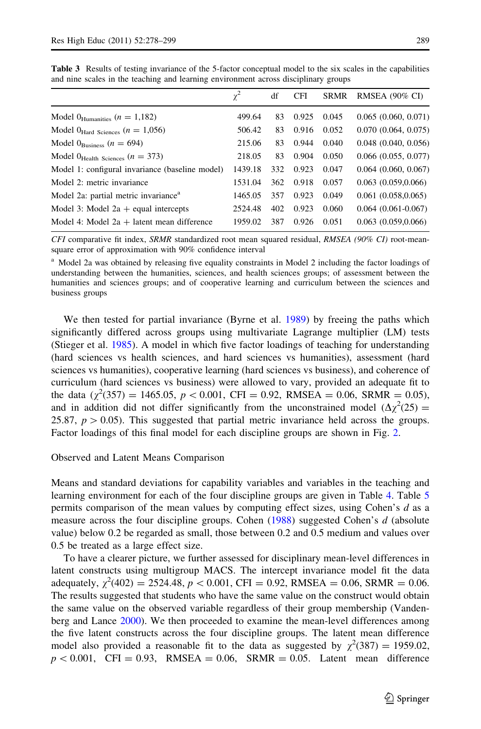|                                                  | $\gamma^2$ | df  | <b>CFI</b> | <b>SRMR</b> | <b>RMSEA (90% CI)</b>    |
|--------------------------------------------------|------------|-----|------------|-------------|--------------------------|
| Model $0_{\text{Humanities}}$ $(n = 1,182)$      | 499.64     | 83  | 0.925      | 0.045       | 0.065(0.060, 0.071)      |
| Model $0_{\text{Hard Sciences}}$ $(n = 1,056)$   | 506.42     | 83  | 0.916      | 0.052       | 0.070(0.064, 0.075)      |
| Model $0_{\text{Business}}$ $(n = 694)$          | 215.06     | 83  | 0.944      | 0.040       | $0.048$ $(0.040, 0.056)$ |
| Model $0_{\text{Health Sciences}}$ ( $n = 373$ ) | 218.05     | 83  | 0.904      | 0.050       | $0.066$ $(0.055, 0.077)$ |
| Model 1: configural invariance (baseline model)  | 1439.18    | 332 | 0.923      | 0.047       | $0.064$ (0.060, 0.067)   |
| Model 2: metric invariance                       | 1531.04    |     | 362 0.918  | 0.057       | 0.063(0.059, 0.066)      |
| Model 2a: partial metric invariance <sup>a</sup> | 1465.05    | 357 | 0.923      | 0.049       | 0.061(0.058, 0.065)      |
| Model 3: Model $2a +$ equal intercepts           | 2524.48    | 402 | 0.923      | 0.060       | $0.064(0.061-0.067)$     |
| Model 4: Model $2a +$ latent mean difference     | 1959.02    | 387 | 0.926      | 0.051       | 0.063(0.059, 0.066)      |
|                                                  |            |     |            |             |                          |

<span id="page-11-0"></span>Table 3 Results of testing invariance of the 5-factor conceptual model to the six scales in the capabilities and nine scales in the teaching and learning environment across disciplinary groups

CFI comparative fit index, SRMR standardized root mean squared residual, RMSEA (90% CI) root-meansquare error of approximation with 90% confidence interval

<sup>a</sup> Model 2a was obtained by releasing five equality constraints in Model 2 including the factor loadings of understanding between the humanities, sciences, and health sciences groups; of assessment between the humanities and sciences groups; and of cooperative learning and curriculum between the sciences and business groups

We then tested for partial invariance (Byrne et al. [1989\)](#page-19-0) by freeing the paths which significantly differed across groups using multivariate Lagrange multiplier (LM) tests (Stieger et al. [1985\)](#page-21-0). A model in which five factor loadings of teaching for understanding (hard sciences vs health sciences, and hard sciences vs humanities), assessment (hard sciences vs humanities), cooperative learning (hard sciences vs business), and coherence of curriculum (hard sciences vs business) were allowed to vary, provided an adequate fit to the data  $(\chi^2(357) = 1465.05, p < 0.001, \text{ CFI} = 0.92, \text{RMSEA} = 0.06, \text{SRMR} = 0.05)$ , and in addition did not differ significantly from the unconstrained model  $(\Delta \chi^2(25)$  = 25.87,  $p > 0.05$ ). This suggested that partial metric invariance held across the groups. Factor loadings of this final model for each discipline groups are shown in Fig. [2.](#page-12-0)

# Observed and Latent Means Comparison

Means and standard deviations for capability variables and variables in the teaching and learning environment for each of the four discipline groups are given in Table [4.](#page-12-0) Table [5](#page-13-0) permits comparison of the mean values by computing effect sizes, using Cohen's d as a measure across the four discipline groups. Cohen  $(1988)$  $(1988)$  suggested Cohen's d (absolute value) below 0.2 be regarded as small, those between 0.2 and 0.5 medium and values over 0.5 be treated as a large effect size.

To have a clearer picture, we further assessed for disciplinary mean-level differences in latent constructs using multigroup MACS. The intercept invariance model fit the data adequately,  $\chi^2(402) = 2524.48$ ,  $p < 0.001$ , CFI = 0.92, RMSEA = 0.06, SRMR = 0.06. The results suggested that students who have the same value on the construct would obtain the same value on the observed variable regardless of their group membership (Vanden-berg and Lance [2000\)](#page-21-0). We then proceeded to examine the mean-level differences among the five latent constructs across the four discipline groups. The latent mean difference model also provided a reasonable fit to the data as suggested by  $\chi^2(387) = 1959.02$ ,  $p < 0.001$ , CFI = 0.93, RMSEA = 0.06, SRMR = 0.05. Latent mean difference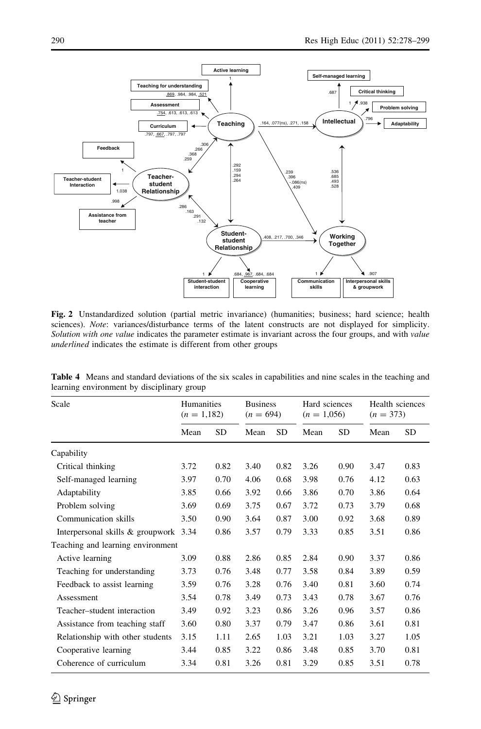<span id="page-12-0"></span>

Fig. 2 Unstandardized solution (partial metric invariance) (humanities; business; hard science; health sciences). Note: variances/disturbance terms of the latent constructs are not displayed for simplicity. Solution with one value indicates the parameter estimate is invariant across the four groups, and with value underlined indicates the estimate is different from other groups

| Scale                                 | Humanities<br>$(n = 1,182)$ |           | <b>Business</b><br>$(n = 694)$ |           | Hard sciences<br>$(n = 1,056)$ |           | $(n = 373)$ | Health sciences |
|---------------------------------------|-----------------------------|-----------|--------------------------------|-----------|--------------------------------|-----------|-------------|-----------------|
|                                       | Mean                        | <b>SD</b> | Mean                           | <b>SD</b> | Mean                           | <b>SD</b> | Mean        | <b>SD</b>       |
| Capability                            |                             |           |                                |           |                                |           |             |                 |
| Critical thinking                     | 3.72                        | 0.82      | 3.40                           | 0.82      | 3.26                           | 0.90      | 3.47        | 0.83            |
| Self-managed learning                 | 3.97                        | 0.70      | 4.06                           | 0.68      | 3.98                           | 0.76      | 4.12        | 0.63            |
| Adaptability                          | 3.85                        | 0.66      | 3.92                           | 0.66      | 3.86                           | 0.70      | 3.86        | 0.64            |
| Problem solving                       | 3.69                        | 0.69      | 3.75                           | 0.67      | 3.72                           | 0.73      | 3.79        | 0.68            |
| Communication skills                  | 3.50                        | 0.90      | 3.64                           | 0.87      | 3.00                           | 0.92      | 3.68        | 0.89            |
| Interpersonal skills & groupwork 3.34 |                             | 0.86      | 3.57                           | 0.79      | 3.33                           | 0.85      | 3.51        | 0.86            |
| Teaching and learning environment     |                             |           |                                |           |                                |           |             |                 |
| Active learning                       | 3.09                        | 0.88      | 2.86                           | 0.85      | 2.84                           | 0.90      | 3.37        | 0.86            |
| Teaching for understanding            | 3.73                        | 0.76      | 3.48                           | 0.77      | 3.58                           | 0.84      | 3.89        | 0.59            |
| Feedback to assist learning           | 3.59                        | 0.76      | 3.28                           | 0.76      | 3.40                           | 0.81      | 3.60        | 0.74            |
| Assessment                            | 3.54                        | 0.78      | 3.49                           | 0.73      | 3.43                           | 0.78      | 3.67        | 0.76            |
| Teacher-student interaction           | 3.49                        | 0.92      | 3.23                           | 0.86      | 3.26                           | 0.96      | 3.57        | 0.86            |
| Assistance from teaching staff        | 3.60                        | 0.80      | 3.37                           | 0.79      | 3.47                           | 0.86      | 3.61        | 0.81            |
| Relationship with other students      | 3.15                        | 1.11      | 2.65                           | 1.03      | 3.21                           | 1.03      | 3.27        | 1.05            |
| Cooperative learning                  | 3.44                        | 0.85      | 3.22                           | 0.86      | 3.48                           | 0.85      | 3.70        | 0.81            |
| Coherence of curriculum               | 3.34                        | 0.81      | 3.26                           | 0.81      | 3.29                           | 0.85      | 3.51        | 0.78            |

Table 4 Means and standard deviations of the six scales in capabilities and nine scales in the teaching and learning environment by disciplinary group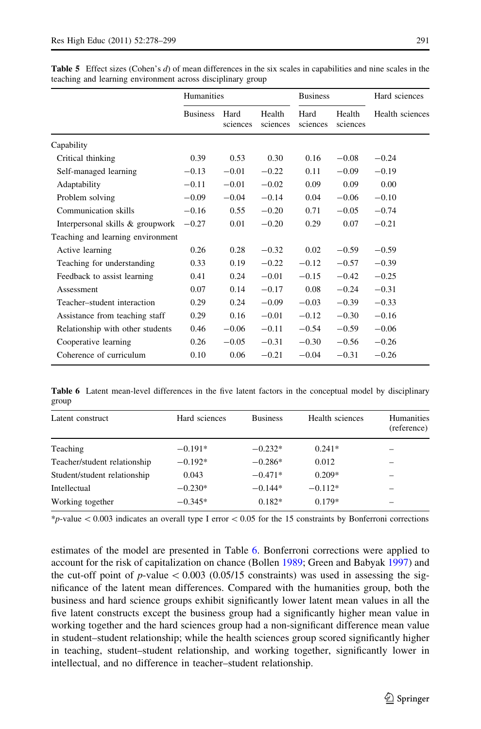|                                   | Humanities      |                  |                    | <b>Business</b>  |                    | Hard sciences   |
|-----------------------------------|-----------------|------------------|--------------------|------------------|--------------------|-----------------|
|                                   | <b>Business</b> | Hard<br>sciences | Health<br>sciences | Hard<br>sciences | Health<br>sciences | Health sciences |
| Capability                        |                 |                  |                    |                  |                    |                 |
| Critical thinking                 | 0.39            | 0.53             | 0.30               | 0.16             | $-0.08$            | $-0.24$         |
| Self-managed learning             | $-0.13$         | $-0.01$          | $-0.22$            | 0.11             | $-0.09$            | $-0.19$         |
| Adaptability                      | $-0.11$         | $-0.01$          | $-0.02$            | 0.09             | 0.09               | 0.00            |
| Problem solving                   | $-0.09$         | $-0.04$          | $-0.14$            | 0.04             | $-0.06$            | $-0.10$         |
| Communication skills              | $-0.16$         | 0.55             | $-0.20$            | 0.71             | $-0.05$            | $-0.74$         |
| Interpersonal skills & groupwork  | $-0.27$         | 0.01             | $-0.20$            | 0.29             | 0.07               | $-0.21$         |
| Teaching and learning environment |                 |                  |                    |                  |                    |                 |
| Active learning                   | 0.26            | 0.28             | $-0.32$            | 0.02             | $-0.59$            | $-0.59$         |
| Teaching for understanding        | 0.33            | 0.19             | $-0.22$            | $-0.12$          | $-0.57$            | $-0.39$         |
| Feedback to assist learning       | 0.41            | 0.24             | $-0.01$            | $-0.15$          | $-0.42$            | $-0.25$         |
| Assessment                        | 0.07            | 0.14             | $-0.17$            | 0.08             | $-0.24$            | $-0.31$         |
| Teacher-student interaction       | 0.29            | 0.24             | $-0.09$            | $-0.03$          | $-0.39$            | $-0.33$         |
| Assistance from teaching staff    | 0.29            | 0.16             | $-0.01$            | $-0.12$          | $-0.30$            | $-0.16$         |
| Relationship with other students  | 0.46            | $-0.06$          | $-0.11$            | $-0.54$          | $-0.59$            | $-0.06$         |
| Cooperative learning              | 0.26            | $-0.05$          | $-0.31$            | $-0.30$          | $-0.56$            | $-0.26$         |
| Coherence of curriculum           | 0.10            | 0.06             | $-0.21$            | $-0.04$          | $-0.31$            | $-0.26$         |

<span id="page-13-0"></span>Table 5 Effect sizes (Cohen's d) of mean differences in the six scales in capabilities and nine scales in the teaching and learning environment across disciplinary group

Table 6 Latent mean-level differences in the five latent factors in the conceptual model by disciplinary group

| Latent construct             | Hard sciences | <b>Business</b> | Health sciences | <b>Humanities</b><br>(reference) |
|------------------------------|---------------|-----------------|-----------------|----------------------------------|
| Teaching                     | $-0.191*$     | $-0.232*$       | $0.241*$        |                                  |
| Teacher/student relationship | $-0.192*$     | $-0.286*$       | 0.012           |                                  |
| Student/student relationship | 0.043         | $-0.471*$       | $0.209*$        |                                  |
| Intellectual                 | $-0.230*$     | $-0.144*$       | $-0.112*$       |                                  |
| Working together             | $-0.345*$     | $0.182*$        | $0.179*$        |                                  |

 $*p$ -value  $\lt$  0.003 indicates an overall type I error  $\lt$  0.05 for the 15 constraints by Bonferroni corrections

estimates of the model are presented in Table 6. Bonferroni corrections were applied to account for the risk of capitalization on chance (Bollen [1989;](#page-19-0) Green and Babyak [1997](#page-20-0)) and the cut-off point of  $p$ -value  $\lt$  0.003 (0.05/15 constraints) was used in assessing the significance of the latent mean differences. Compared with the humanities group, both the business and hard science groups exhibit significantly lower latent mean values in all the five latent constructs except the business group had a significantly higher mean value in working together and the hard sciences group had a non-significant difference mean value in student–student relationship; while the health sciences group scored significantly higher in teaching, student–student relationship, and working together, significantly lower in intellectual, and no difference in teacher–student relationship.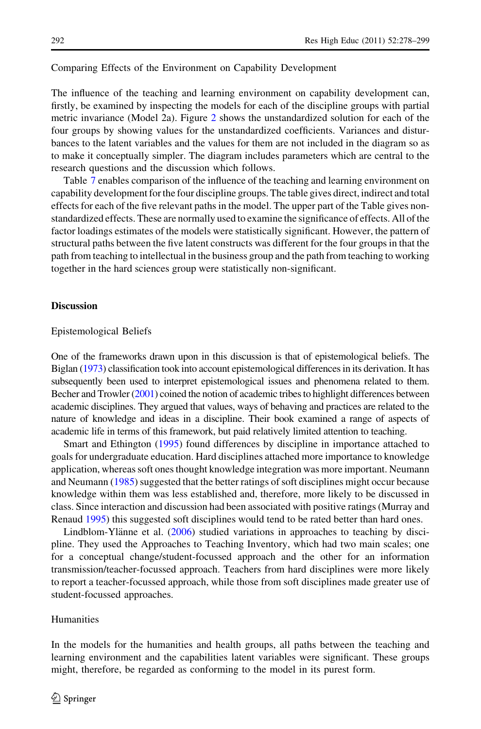#### Comparing Effects of the Environment on Capability Development

The influence of the teaching and learning environment on capability development can, firstly, be examined by inspecting the models for each of the discipline groups with partial metric invariance (Model 2a). Figure [2](#page-12-0) shows the unstandardized solution for each of the four groups by showing values for the unstandardized coefficients. Variances and disturbances to the latent variables and the values for them are not included in the diagram so as to make it conceptually simpler. The diagram includes parameters which are central to the research questions and the discussion which follows.

Table [7](#page-15-0) enables comparison of the influence of the teaching and learning environment on capability development for the four discipline groups. The table gives direct, indirect and total effects for each of the five relevant paths in the model. The upper part of the Table gives nonstandardized effects. These are normally used to examine the significance of effects. All of the factor loadings estimates of the models were statistically significant. However, the pattern of structural paths between the five latent constructs was different for the four groups in that the path from teaching to intellectual in the business group and the path from teaching to working together in the hard sciences group were statistically non-significant.

## **Discussion**

#### Epistemological Beliefs

One of the frameworks drawn upon in this discussion is that of epistemological beliefs. The Biglan [\(1973\)](#page-19-0) classification took into account epistemological differences in its derivation. It has subsequently been used to interpret epistemological issues and phenomena related to them. Becher and Trowler [\(2001](#page-19-0)) coined the notion of academic tribes to highlight differences between academic disciplines. They argued that values, ways of behaving and practices are related to the nature of knowledge and ideas in a discipline. Their book examined a range of aspects of academic life in terms of this framework, but paid relatively limited attention to teaching.

Smart and Ethington ([1995\)](#page-21-0) found differences by discipline in importance attached to goals for undergraduate education. Hard disciplines attached more importance to knowledge application, whereas soft ones thought knowledge integration was more important. Neumann and Neumann [\(1985\)](#page-21-0) suggested that the better ratings of soft disciplines might occur because knowledge within them was less established and, therefore, more likely to be discussed in class. Since interaction and discussion had been associated with positive ratings (Murray and Renaud [1995](#page-21-0)) this suggested soft disciplines would tend to be rated better than hard ones.

Lindblom-Ylänne et al.  $(2006)$  $(2006)$  studied variations in approaches to teaching by discipline. They used the Approaches to Teaching Inventory, which had two main scales; one for a conceptual change/student-focussed approach and the other for an information transmission/teacher-focussed approach. Teachers from hard disciplines were more likely to report a teacher-focussed approach, while those from soft disciplines made greater use of student-focussed approaches.

#### Humanities

In the models for the humanities and health groups, all paths between the teaching and learning environment and the capabilities latent variables were significant. These groups might, therefore, be regarded as conforming to the model in its purest form.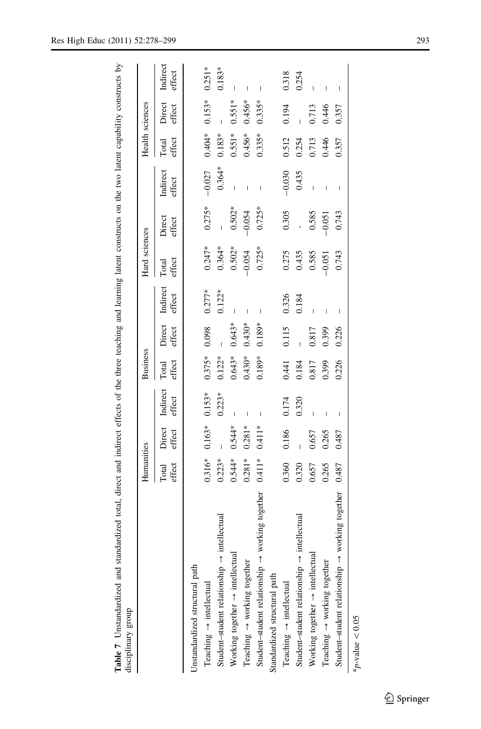| disciplinary group                                             |                 |                  |                    |                 |                  |                    |                        |                  |                    |                 |                  |                    |
|----------------------------------------------------------------|-----------------|------------------|--------------------|-----------------|------------------|--------------------|------------------------|------------------|--------------------|-----------------|------------------|--------------------|
|                                                                | Humanities      |                  |                    | <b>Business</b> |                  |                    | Hard sciences          |                  |                    | Health sciences |                  |                    |
|                                                                | effect<br>Total | Direct<br>effect | Indirect<br>effect | effect<br>Total | Direct<br>effect | Indirect<br>effect | effect<br><b>Total</b> | Direct<br>effect | Indirect<br>effect | effect<br>Total | Direct<br>effect | Indirect<br>effect |
| Jnstandardized structural path                                 |                 |                  |                    |                 |                  |                    |                        |                  |                    |                 |                  |                    |
| Teaching $\rightarrow$ intellectual                            | $0.316*$        | $0.163*$         | $0.153*$           | $0.375*$        | 0.098            | $0.277*$           | $0.247*$               | $0.275*$         | $-0.027$           | $0.404*$        | $0.153*$         | $0.251*$           |
| intellectual<br>Student-student relationship $\rightarrow$     | $0.223*$        |                  | $0.223*$           | $0.122*$        |                  | $0.122*$           | $0.364*$               |                  | $0.364*$           | $0.183*$        |                  | $0.183*$           |
| Working together $\rightarrow$ intellectual                    | $0.544*$        | $0.544*$         |                    | $0.643*$        | $0.643*$         |                    | $0.502*$               | $0.502*$         |                    | $0.551*$        | $0.551*$         |                    |
| Teaching $\rightarrow$ working together                        | $0.281*$        | $0.281*$         |                    | $0.430*$        | $0.430*$         |                    | $-0.054$               | $-0.054$         | I                  | $0.456*$        | $0.456*$         |                    |
| working together<br>Student-student relationship $\rightarrow$ | $0.411*$        | $0.411*$         | I                  | $0.189*$        | $0.189*$         | I                  | $0.725*$               | $0.725*$         | I                  | $0.335*$        | $0.335*$         | I                  |
| Standardized structural path                                   |                 |                  |                    |                 |                  |                    |                        |                  |                    |                 |                  |                    |
| Teaching $\rightarrow$ intellectual                            | 0.360           | 0.186            | 0.174              | 0.441           | 0.115            | 0.326              | 0.275                  | 0.305            | $-0.030$           | 0.512           | 0.194            | 0.318              |
| intellectual<br>Student-student relationship $\rightarrow$     | 0.320           |                  | 0.320              | 0.184           |                  | 0.184              | 0.435                  |                  | 0.435              | 0.254           |                  | 0.254              |
| Working together $\rightarrow$ intellectual                    | 0.657           | 0.657            |                    | 0.817           | 0.817            |                    | 0.585                  | 0.585            |                    | 0.713           | 0.713            |                    |
| Teaching $\rightarrow$ working together                        | 0.265           | 0.265            | Ī                  | 0.399           | 0.399            |                    | $-0.051$               | $-0.051$         | I                  | 0.446           | 0.446            | I                  |
| working together<br>Student-student relationship $\rightarrow$ | 0.487           | 0.487            |                    | 0.226           | 0.226            |                    | 0.743                  | 0.743            |                    | 0.357           | 0.357            |                    |
|                                                                |                 |                  |                    |                 |                  |                    |                        |                  |                    |                 |                  |                    |

<span id="page-15-0"></span>Table 7 Unstandardized and standardized total, direct and indirect effects of the three teaching and learning latent constructs on the two latent capability constructs by Table 7 Unstandardized and standardized total, direct and indirect effects of the three teaching and learning latent constructs on the two latent capability constructs by

\*p-value

 $< 0.05$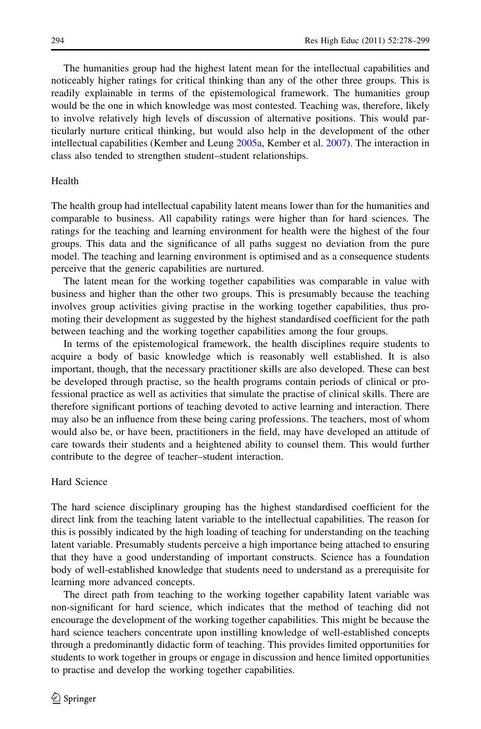The humanities group had the highest latent mean for the intellectual capabilities and noticeably higher ratings for critical thinking than any of the other three groups. This is readily explainable in terms of the epistemological framework. The humanities group would be the one in which knowledge was most contested. Teaching was, therefore, likely to involve relatively high levels of discussion of alternative positions. This would particularly nurture critical thinking, but would also help in the development of the other intellectual capabilities (Kember and Leung [2005a](#page-20-0), Kember et al. [2007\)](#page-20-0). The interaction in class also tended to strengthen student–student relationships.

# Health

The health group had intellectual capability latent means lower than for the humanities and comparable to business. All capability ratings were higher than for hard sciences. The ratings for the teaching and learning environment for health were the highest of the four groups. This data and the significance of all paths suggest no deviation from the pure model. The teaching and learning environment is optimised and as a consequence students perceive that the generic capabilities are nurtured.

The latent mean for the working together capabilities was comparable in value with business and higher than the other two groups. This is presumably because the teaching involves group activities giving practise in the working together capabilities, thus promoting their development as suggested by the highest standardised coefficient for the path between teaching and the working together capabilities among the four groups.

In terms of the epistemological framework, the health disciplines require students to acquire a body of basic knowledge which is reasonably well established. It is also important, though, that the necessary practitioner skills are also developed. These can best be developed through practise, so the health programs contain periods of clinical or professional practice as well as activities that simulate the practise of clinical skills. There are therefore significant portions of teaching devoted to active learning and interaction. There may also be an influence from these being caring professions. The teachers, most of whom would also be, or have been, practitioners in the field, may have developed an attitude of care towards their students and a heightened ability to counsel them. This would further contribute to the degree of teacher–student interaction.

# Hard Science

The hard science disciplinary grouping has the highest standardised coefficient for the direct link from the teaching latent variable to the intellectual capabilities. The reason for this is possibly indicated by the high loading of teaching for understanding on the teaching latent variable. Presumably students perceive a high importance being attached to ensuring that they have a good understanding of important constructs. Science has a foundation body of well-established knowledge that students need to understand as a prerequisite for learning more advanced concepts.

The direct path from teaching to the working together capability latent variable was non-significant for hard science, which indicates that the method of teaching did not encourage the development of the working together capabilities. This might be because the hard science teachers concentrate upon instilling knowledge of well-established concepts through a predominantly didactic form of teaching. This provides limited opportunities for students to work together in groups or engage in discussion and hence limited opportunities to practise and develop the working together capabilities.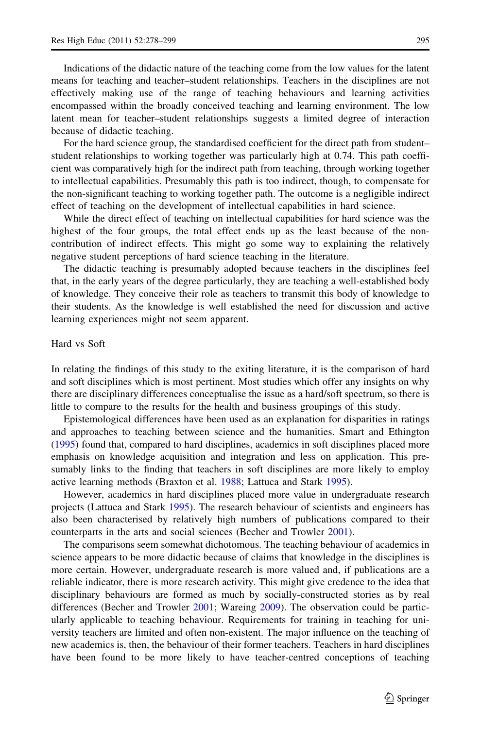Indications of the didactic nature of the teaching come from the low values for the latent means for teaching and teacher–student relationships. Teachers in the disciplines are not effectively making use of the range of teaching behaviours and learning activities encompassed within the broadly conceived teaching and learning environment. The low latent mean for teacher–student relationships suggests a limited degree of interaction because of didactic teaching.

For the hard science group, the standardised coefficient for the direct path from student– student relationships to working together was particularly high at 0.74. This path coefficient was comparatively high for the indirect path from teaching, through working together to intellectual capabilities. Presumably this path is too indirect, though, to compensate for the non-significant teaching to working together path. The outcome is a negligible indirect effect of teaching on the development of intellectual capabilities in hard science.

While the direct effect of teaching on intellectual capabilities for hard science was the highest of the four groups, the total effect ends up as the least because of the noncontribution of indirect effects. This might go some way to explaining the relatively negative student perceptions of hard science teaching in the literature.

The didactic teaching is presumably adopted because teachers in the disciplines feel that, in the early years of the degree particularly, they are teaching a well-established body of knowledge. They conceive their role as teachers to transmit this body of knowledge to their students. As the knowledge is well established the need for discussion and active learning experiences might not seem apparent.

# Hard vs Soft

In relating the findings of this study to the exiting literature, it is the comparison of hard and soft disciplines which is most pertinent. Most studies which offer any insights on why there are disciplinary differences conceptualise the issue as a hard/soft spectrum, so there is little to compare to the results for the health and business groupings of this study.

Epistemological differences have been used as an explanation for disparities in ratings and approaches to teaching between science and the humanities. Smart and Ethington ([1995\)](#page-21-0) found that, compared to hard disciplines, academics in soft disciplines placed more emphasis on knowledge acquisition and integration and less on application. This presumably links to the finding that teachers in soft disciplines are more likely to employ active learning methods (Braxton et al. [1988](#page-19-0); Lattuca and Stark [1995\)](#page-20-0).

However, academics in hard disciplines placed more value in undergraduate research projects (Lattuca and Stark [1995](#page-20-0)). The research behaviour of scientists and engineers has also been characterised by relatively high numbers of publications compared to their counterparts in the arts and social sciences (Becher and Trowler [2001\)](#page-19-0).

The comparisons seem somewhat dichotomous. The teaching behaviour of academics in science appears to be more didactic because of claims that knowledge in the disciplines is more certain. However, undergraduate research is more valued and, if publications are a reliable indicator, there is more research activity. This might give credence to the idea that disciplinary behaviours are formed as much by socially-constructed stories as by real differences (Becher and Trowler [2001;](#page-19-0) Wareing [2009](#page-21-0)). The observation could be particularly applicable to teaching behaviour. Requirements for training in teaching for university teachers are limited and often non-existent. The major influence on the teaching of new academics is, then, the behaviour of their former teachers. Teachers in hard disciplines have been found to be more likely to have teacher-centred conceptions of teaching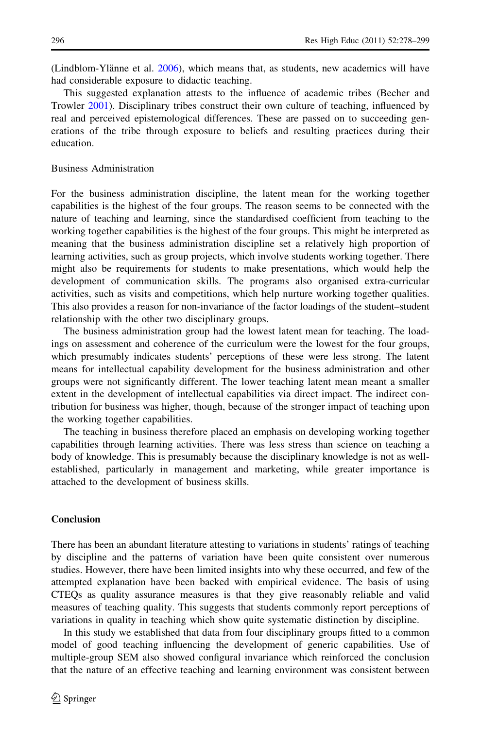(Lindblom-Ylänne et al.  $2006$ ), which means that, as students, new academics will have had considerable exposure to didactic teaching.

This suggested explanation attests to the influence of academic tribes (Becher and Trowler [2001\)](#page-19-0). Disciplinary tribes construct their own culture of teaching, influenced by real and perceived epistemological differences. These are passed on to succeeding generations of the tribe through exposure to beliefs and resulting practices during their education.

# Business Administration

For the business administration discipline, the latent mean for the working together capabilities is the highest of the four groups. The reason seems to be connected with the nature of teaching and learning, since the standardised coefficient from teaching to the working together capabilities is the highest of the four groups. This might be interpreted as meaning that the business administration discipline set a relatively high proportion of learning activities, such as group projects, which involve students working together. There might also be requirements for students to make presentations, which would help the development of communication skills. The programs also organised extra-curricular activities, such as visits and competitions, which help nurture working together qualities. This also provides a reason for non-invariance of the factor loadings of the student–student relationship with the other two disciplinary groups.

The business administration group had the lowest latent mean for teaching. The loadings on assessment and coherence of the curriculum were the lowest for the four groups, which presumably indicates students' perceptions of these were less strong. The latent means for intellectual capability development for the business administration and other groups were not significantly different. The lower teaching latent mean meant a smaller extent in the development of intellectual capabilities via direct impact. The indirect contribution for business was higher, though, because of the stronger impact of teaching upon the working together capabilities.

The teaching in business therefore placed an emphasis on developing working together capabilities through learning activities. There was less stress than science on teaching a body of knowledge. This is presumably because the disciplinary knowledge is not as wellestablished, particularly in management and marketing, while greater importance is attached to the development of business skills.

# Conclusion

There has been an abundant literature attesting to variations in students' ratings of teaching by discipline and the patterns of variation have been quite consistent over numerous studies. However, there have been limited insights into why these occurred, and few of the attempted explanation have been backed with empirical evidence. The basis of using CTEQs as quality assurance measures is that they give reasonably reliable and valid measures of teaching quality. This suggests that students commonly report perceptions of variations in quality in teaching which show quite systematic distinction by discipline.

In this study we established that data from four disciplinary groups fitted to a common model of good teaching influencing the development of generic capabilities. Use of multiple-group SEM also showed configural invariance which reinforced the conclusion that the nature of an effective teaching and learning environment was consistent between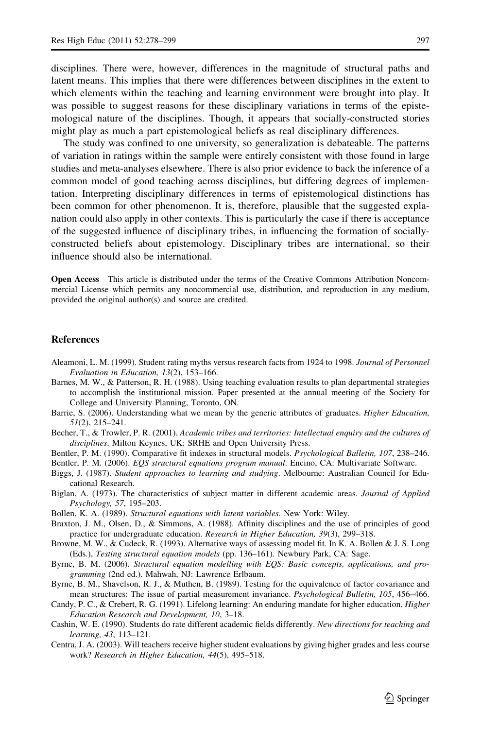<span id="page-19-0"></span>disciplines. There were, however, differences in the magnitude of structural paths and latent means. This implies that there were differences between disciplines in the extent to which elements within the teaching and learning environment were brought into play. It was possible to suggest reasons for these disciplinary variations in terms of the epistemological nature of the disciplines. Though, it appears that socially-constructed stories might play as much a part epistemological beliefs as real disciplinary differences.

The study was confined to one university, so generalization is debateable. The patterns of variation in ratings within the sample were entirely consistent with those found in large studies and meta-analyses elsewhere. There is also prior evidence to back the inference of a common model of good teaching across disciplines, but differing degrees of implementation. Interpreting disciplinary differences in terms of epistemological distinctions has been common for other phenomenon. It is, therefore, plausible that the suggested explanation could also apply in other contexts. This is particularly the case if there is acceptance of the suggested influence of disciplinary tribes, in influencing the formation of sociallyconstructed beliefs about epistemology. Disciplinary tribes are international, so their influence should also be international.

Open Access This article is distributed under the terms of the Creative Commons Attribution Noncommercial License which permits any noncommercial use, distribution, and reproduction in any medium, provided the original author(s) and source are credited.

### References

- Aleamoni, L. M. (1999). Student rating myths versus research facts from 1924 to 1998. Journal of Personnel Evaluation in Education, 13(2), 153–166.
- Barnes, M. W., & Patterson, R. H. (1988). Using teaching evaluation results to plan departmental strategies to accomplish the institutional mission. Paper presented at the annual meeting of the Society for College and University Planning, Toronto, ON.
- Barrie, S. (2006). Understanding what we mean by the generic attributes of graduates. *Higher Education*, 51(2), 215–241.
- Becher, T., & Trowler, P. R. (2001). Academic tribes and territories: Intellectual enquiry and the cultures of disciplines. Milton Keynes, UK: SRHE and Open University Press.
- Bentler, P. M. (1990). Comparative fit indexes in structural models. Psychological Bulletin, 107, 238–246.
- Bentler, P. M. (2006). EQS structural equations program manual. Encino, CA: Multivariate Software.
- Biggs, J. (1987). Student approaches to learning and studying. Melbourne: Australian Council for Educational Research.
- Biglan, A. (1973). The characteristics of subject matter in different academic areas. Journal of Applied Psychology, 57, 195–203.
- Bollen, K. A. (1989). Structural equations with latent variables. New York: Wiley.
- Braxton, J. M., Olsen, D., & Simmons, A. (1988). Affinity disciplines and the use of principles of good practice for undergraduate education. Research in Higher Education, 39(3), 299–318.
- Browne, M. W., & Cudeck, R. (1993). Alternative ways of assessing model fit. In K. A. Bollen & J. S. Long (Eds.), Testing structural equation models (pp. 136–161). Newbury Park, CA: Sage.
- Byrne, B. M. (2006). Structural equation modelling with EQS: Basic concepts, applications, and programming (2nd ed.). Mahwah, NJ: Lawrence Erlbaum.
- Byrne, B. M., Shavelson, R. J., & Muthen, B. (1989). Testing for the equivalence of factor covariance and mean structures: The issue of partial measurement invariance. Psychological Bulletin, 105, 456–466.
- Candy, P. C., & Crebert, R. G. (1991). Lifelong learning: An enduring mandate for higher education. Higher Education Research and Development, 10, 3–18.
- Cashin, W. E. (1990). Students do rate different academic fields differently. New directions for teaching and learning, 43, 113–121.
- Centra, J. A. (2003). Will teachers receive higher student evaluations by giving higher grades and less course work? Research in Higher Education, 44(5), 495–518.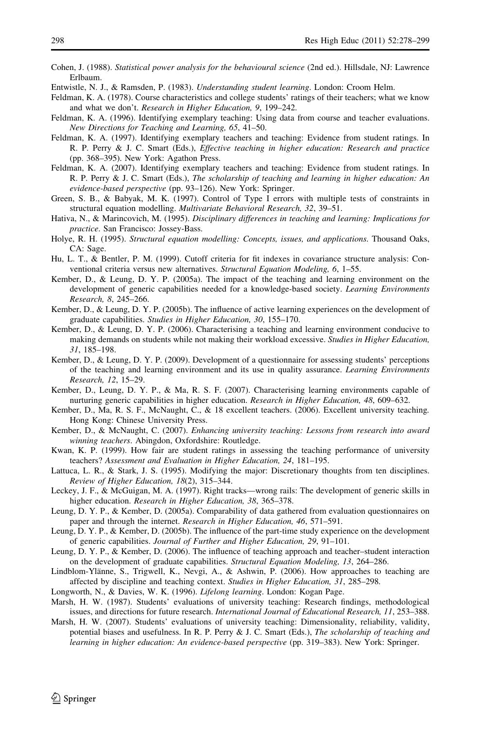- <span id="page-20-0"></span>Cohen, J. (1988). Statistical power analysis for the behavioural science (2nd ed.). Hillsdale, NJ: Lawrence Erlbaum.
- Entwistle, N. J., & Ramsden, P. (1983). Understanding student learning. London: Croom Helm.
- Feldman, K. A. (1978). Course characteristics and college students' ratings of their teachers; what we know and what we don't. Research in Higher Education, 9, 199–242.
- Feldman, K. A. (1996). Identifying exemplary teaching: Using data from course and teacher evaluations. New Directions for Teaching and Learning, 65, 41–50.
- Feldman, K. A. (1997). Identifying exemplary teachers and teaching: Evidence from student ratings. In R. P. Perry & J. C. Smart (Eds.), Effective teaching in higher education: Research and practice (pp. 368–395). New York: Agathon Press.
- Feldman, K. A. (2007). Identifying exemplary teachers and teaching: Evidence from student ratings. In R. P. Perry & J. C. Smart (Eds.), The scholarship of teaching and learning in higher education: An evidence-based perspective (pp. 93–126). New York: Springer.
- Green, S. B., & Babyak, M. K. (1997). Control of Type I errors with multiple tests of constraints in structural equation modelling. Multivariate Behavioral Research, 32, 39–51.
- Hativa, N., & Marincovich, M. (1995). Disciplinary differences in teaching and learning: Implications for practice. San Francisco: Jossey-Bass.
- Holye, R. H. (1995). Structural equation modelling: Concepts, issues, and applications. Thousand Oaks, CA: Sage.
- Hu, L. T., & Bentler, P. M. (1999). Cutoff criteria for fit indexes in covariance structure analysis: Conventional criteria versus new alternatives. Structural Equation Modeling, 6, 1–55.
- Kember, D., & Leung, D. Y. P. (2005a). The impact of the teaching and learning environment on the development of generic capabilities needed for a knowledge-based society. Learning Environments Research, 8, 245–266.
- Kember, D., & Leung, D. Y. P. (2005b). The influence of active learning experiences on the development of graduate capabilities. Studies in Higher Education, 30, 155–170.
- Kember, D., & Leung, D. Y. P. (2006). Characterising a teaching and learning environment conducive to making demands on students while not making their workload excessive. Studies in Higher Education, 31, 185–198.
- Kember, D., & Leung, D. Y. P. (2009). Development of a questionnaire for assessing students' perceptions of the teaching and learning environment and its use in quality assurance. Learning Environments Research, 12, 15–29.
- Kember, D., Leung, D. Y. P., & Ma, R. S. F. (2007). Characterising learning environments capable of nurturing generic capabilities in higher education. Research in Higher Education, 48, 609–632.
- Kember, D., Ma, R. S. F., McNaught, C., & 18 excellent teachers. (2006). Excellent university teaching. Hong Kong: Chinese University Press.
- Kember, D., & McNaught, C. (2007). Enhancing university teaching: Lessons from research into award winning teachers. Abingdon, Oxfordshire: Routledge.
- Kwan, K. P. (1999). How fair are student ratings in assessing the teaching performance of university teachers? Assessment and Evaluation in Higher Education, 24, 181–195.
- Lattuca, L. R., & Stark, J. S. (1995). Modifying the major: Discretionary thoughts from ten disciplines. Review of Higher Education, 18(2), 315–344.
- Leckey, J. F., & McGuigan, M. A. (1997). Right tracks—wrong rails: The development of generic skills in higher education. Research in Higher Education, 38, 365–378.
- Leung, D. Y. P., & Kember, D. (2005a). Comparability of data gathered from evaluation questionnaires on paper and through the internet. Research in Higher Education, 46, 571–591.
- Leung, D. Y. P., & Kember, D. (2005b). The influence of the part-time study experience on the development of generic capabilities. Journal of Further and Higher Education, 29, 91–101.
- Leung, D. Y. P., & Kember, D. (2006). The influence of teaching approach and teacher–student interaction on the development of graduate capabilities. Structural Equation Modeling, 13, 264–286.
- Lindblom-Ylänne, S., Trigwell, K., Nevgi, A., & Ashwin, P. (2006). How approaches to teaching are affected by discipline and teaching context. Studies in Higher Education, 31, 285–298.
- Longworth, N., & Davies, W. K. (1996). Lifelong learning. London: Kogan Page.
- Marsh, H. W. (1987). Students' evaluations of university teaching: Research findings, methodological issues, and directions for future research. International Journal of Educational Research, 11, 253–388.
- Marsh, H. W. (2007). Students' evaluations of university teaching: Dimensionality, reliability, validity, potential biases and usefulness. In R. P. Perry & J. C. Smart (Eds.), The scholarship of teaching and learning in higher education: An evidence-based perspective (pp. 319–383). New York: Springer.